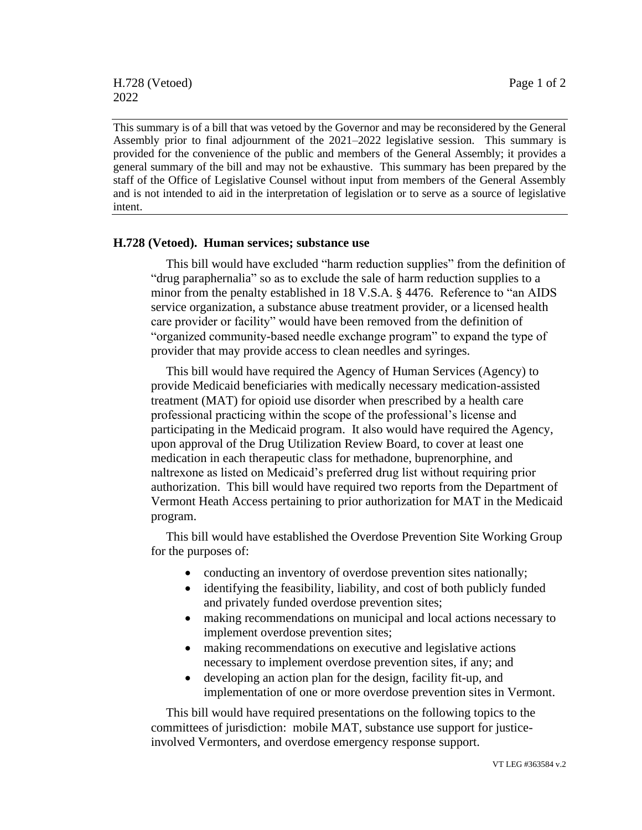This summary is of a bill that was vetoed by the Governor and may be reconsidered by the General Assembly prior to final adjournment of the 2021–2022 legislative session. This summary is provided for the convenience of the public and members of the General Assembly; it provides a general summary of the bill and may not be exhaustive. This summary has been prepared by the staff of the Office of Legislative Counsel without input from members of the General Assembly and is not intended to aid in the interpretation of legislation or to serve as a source of legislative intent.

## **H.728 (Vetoed). Human services; substance use**

This bill would have excluded "harm reduction supplies" from the definition of "drug paraphernalia" so as to exclude the sale of harm reduction supplies to a minor from the penalty established in 18 V.S.A. § 4476. Reference to "an AIDS service organization, a substance abuse treatment provider, or a licensed health care provider or facility" would have been removed from the definition of "organized community-based needle exchange program" to expand the type of provider that may provide access to clean needles and syringes.

This bill would have required the Agency of Human Services (Agency) to provide Medicaid beneficiaries with medically necessary medication-assisted treatment (MAT) for opioid use disorder when prescribed by a health care professional practicing within the scope of the professional's license and participating in the Medicaid program. It also would have required the Agency, upon approval of the Drug Utilization Review Board, to cover at least one medication in each therapeutic class for methadone, buprenorphine, and naltrexone as listed on Medicaid's preferred drug list without requiring prior authorization. This bill would have required two reports from the Department of Vermont Heath Access pertaining to prior authorization for MAT in the Medicaid program.

This bill would have established the Overdose Prevention Site Working Group for the purposes of:

- conducting an inventory of overdose prevention sites nationally;
- identifying the feasibility, liability, and cost of both publicly funded and privately funded overdose prevention sites;
- making recommendations on municipal and local actions necessary to implement overdose prevention sites;
- making recommendations on executive and legislative actions necessary to implement overdose prevention sites, if any; and
- developing an action plan for the design, facility fit-up, and implementation of one or more overdose prevention sites in Vermont.

This bill would have required presentations on the following topics to the committees of jurisdiction: mobile MAT, substance use support for justiceinvolved Vermonters, and overdose emergency response support.